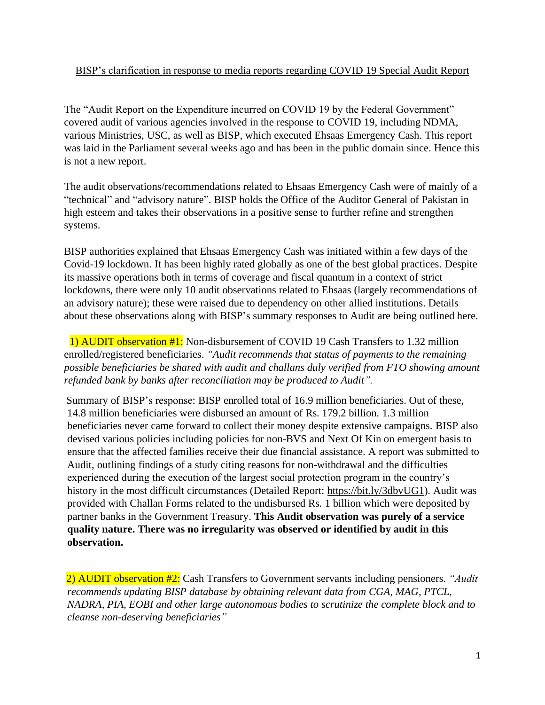## BISP's clarification in response to media reports regarding COVID 19 Special Audit Report

The "Audit Report on the Expenditure incurred on COVID 19 by the Federal Government" covered audit of various agencies involved in the response to COVID 19, including NDMA, various Ministries, USC, as well as BISP, which executed Ehsaas Emergency Cash. This report was laid in the Parliament several weeks ago and has been in the public domain since. Hence this is not a new report.

The audit observations/recommendations related to Ehsaas Emergency Cash were of mainly of a "technical" and "advisory nature". BISP holds the Office of the Auditor General of Pakistan in high esteem and takes their observations in a positive sense to further refine and strengthen systems.

BISP authorities explained that Ehsaas Emergency Cash was initiated within a few days of the Covid-19 lockdown. It has been highly rated globally as one of the best global practices. Despite its massive operations both in terms of coverage and fiscal quantum in a context of strict lockdowns, there were only 10 audit observations related to Ehsaas (largely recommendations of an advisory nature); these were raised due to dependency on other allied institutions. Details about these observations along with BISP's summary responses to Audit are being outlined here.

1) AUDIT observation #1: Non-disbursement of COVID 19 Cash Transfers to 1.32 million enrolled/registered beneficiaries. *"Audit recommends that status of payments to the remaining possible beneficiaries be shared with audit and challans duly verified from FTO showing amount refunded bank by banks after reconciliation may be produced to Audit".* 

Summary of BISP's response: BISP enrolled total of 16.9 million beneficiaries. Out of these, 14.8 million beneficiaries were disbursed an amount of Rs. 179.2 billion. 1.3 million beneficiaries never came forward to collect their money despite extensive campaigns. BISP also devised various policies including policies for non-BVS and Next Of Kin on emergent basis to ensure that the affected families receive their due financial assistance. A report was submitted to Audit, outlining findings of a study citing reasons for non-withdrawal and the difficulties experienced during the execution of the largest social protection program in the country's history in the most difficult circumstances (Detailed Report: [https://bit.ly/3dbvUG1\)](https://bit.ly/3dbvUG1). Audit was provided with Challan Forms related to the undisbursed Rs. 1 billion which were deposited by partner banks in the Government Treasury. **This Audit observation was purely of a service quality nature. There was no irregularity was observed or identified by audit in this observation.** 

2) AUDIT observation #2: Cash Transfers to Government servants including pensioners. *"Audit recommends updating BISP database by obtaining relevant data from CGA, MAG, PTCL, NADRA, PIA, EOBI and other large autonomous bodies to scrutinize the complete block and to cleanse non-deserving beneficiaries"*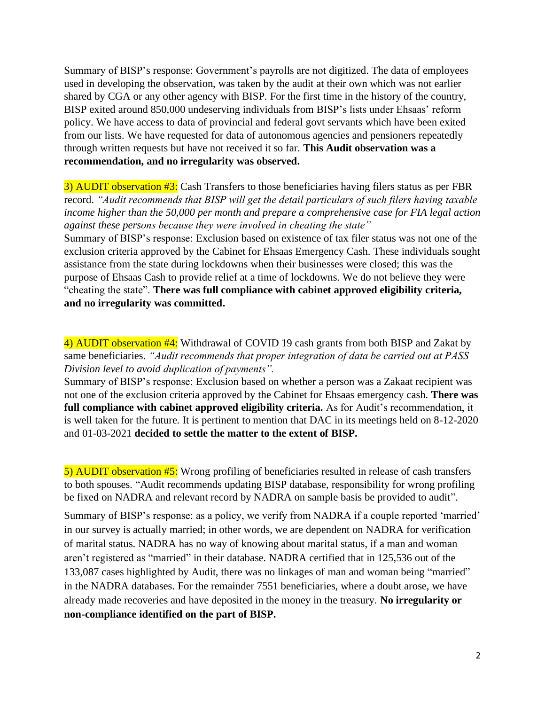Summary of BISP's response: Government's payrolls are not digitized. The data of employees used in developing the observation, was taken by the audit at their own which was not earlier shared by CGA or any other agency with BISP. For the first time in the history of the country, BISP exited around 850,000 undeserving individuals from BISP's lists under Ehsaas' reform policy. We have access to data of provincial and federal govt servants which have been exited from our lists. We have requested for data of autonomous agencies and pensioners repeatedly through written requests but have not received it so far. **This Audit observation was a recommendation, and no irregularity was observed.** 

3) AUDIT observation #3: Cash Transfers to those beneficiaries having filers status as per FBR record. *"Audit recommends that BISP will get the detail particulars of such filers having taxable income higher than the 50,000 per month and prepare a comprehensive case for FIA legal action against these persons because they were involved in cheating the state"*

Summary of BISP's response: Exclusion based on existence of tax filer status was not one of the exclusion criteria approved by the Cabinet for Ehsaas Emergency Cash. These individuals sought assistance from the state during lockdowns when their businesses were closed; this was the purpose of Ehsaas Cash to provide relief at a time of lockdowns. We do not believe they were "cheating the state". **There was full compliance with cabinet approved eligibility criteria, and no irregularity was committed.**

4) AUDIT observation #4: Withdrawal of COVID 19 cash grants from both BISP and Zakat by same beneficiaries. *"Audit recommends that proper integration of data be carried out at PASS Division level to avoid duplication of payments".*

Summary of BISP's response: Exclusion based on whether a person was a Zakaat recipient was not one of the exclusion criteria approved by the Cabinet for Ehsaas emergency cash. **There was full compliance with cabinet approved eligibility criteria.** As for Audit's recommendation, it is well taken for the future. It is pertinent to mention that DAC in its meetings held on 8-12-2020 and 01-03-2021 **decided to settle the matter to the extent of BISP.**

5) AUDIT observation #5: Wrong profiling of beneficiaries resulted in release of cash transfers to both spouses. "Audit recommends updating BISP database, responsibility for wrong profiling be fixed on NADRA and relevant record by NADRA on sample basis be provided to audit".

Summary of BISP's response: as a policy, we verify from NADRA if a couple reported 'married' in our survey is actually married; in other words, we are dependent on NADRA for verification of marital status. NADRA has no way of knowing about marital status, if a man and woman aren't registered as "married" in their database. NADRA certified that in 125,536 out of the 133,087 cases highlighted by Audit, there was no linkages of man and woman being "married" in the NADRA databases. For the remainder 7551 beneficiaries, where a doubt arose, we have already made recoveries and have deposited in the money in the treasury. **No irregularity or non-compliance identified on the part of BISP.**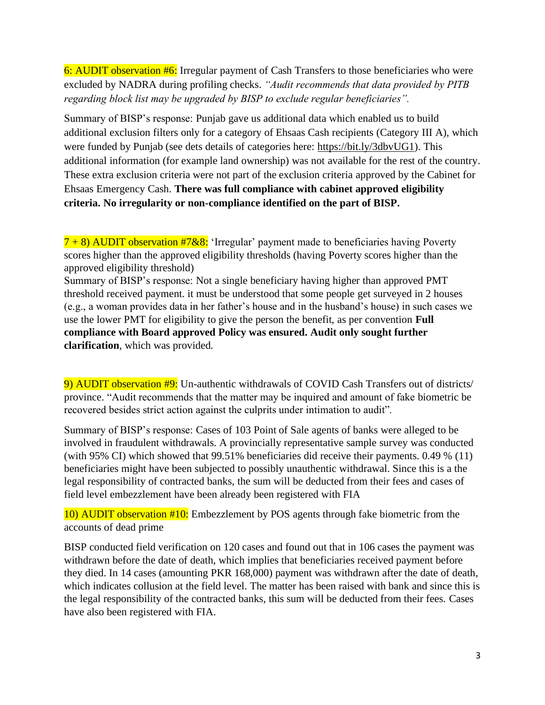6: AUDIT observation #6: Irregular payment of Cash Transfers to those beneficiaries who were excluded by NADRA during profiling checks. *"Audit recommends that data provided by PITB regarding block list may be upgraded by BISP to exclude regular beneficiaries".*

Summary of BISP's response: Punjab gave us additional data which enabled us to build additional exclusion filters only for a category of Ehsaas Cash recipients (Category III A), which were funded by Punjab (see dets details of categories here: [https://bit.ly/3dbvUG1\)](https://bit.ly/3dbvUG1). This additional information (for example land ownership) was not available for the rest of the country. These extra exclusion criteria were not part of the exclusion criteria approved by the Cabinet for Ehsaas Emergency Cash. **There was full compliance with cabinet approved eligibility criteria. No irregularity or non-compliance identified on the part of BISP.**

 $7 + 8$ ) AUDIT observation #7&8: 'Irregular' payment made to beneficiaries having Poverty scores higher than the approved eligibility thresholds (having Poverty scores higher than the approved eligibility threshold)

Summary of BISP's response: Not a single beneficiary having higher than approved PMT threshold received payment. it must be understood that some people get surveyed in 2 houses (e.g., a woman provides data in her father's house and in the husband's house) in such cases we use the lower PMT for eligibility to give the person the benefit, as per convention **Full compliance with Board approved Policy was ensured. Audit only sought further clarification**, which was provided.

9) AUDIT observation #9: Un-authentic withdrawals of COVID Cash Transfers out of districts/ province. "Audit recommends that the matter may be inquired and amount of fake biometric be recovered besides strict action against the culprits under intimation to audit".

Summary of BISP's response: Cases of 103 Point of Sale agents of banks were alleged to be involved in fraudulent withdrawals. A provincially representative sample survey was conducted (with 95% CI) which showed that 99.51% beneficiaries did receive their payments. 0.49 % (11) beneficiaries might have been subjected to possibly unauthentic withdrawal. Since this is a the legal responsibility of contracted banks, the sum will be deducted from their fees and cases of field level embezzlement have been already been registered with FIA

10) AUDIT observation #10: Embezzlement by POS agents through fake biometric from the accounts of dead prime

BISP conducted field verification on 120 cases and found out that in 106 cases the payment was withdrawn before the date of death, which implies that beneficiaries received payment before they died. In 14 cases (amounting PKR 168,000) payment was withdrawn after the date of death, which indicates collusion at the field level. The matter has been raised with bank and since this is the legal responsibility of the contracted banks, this sum will be deducted from their fees. Cases have also been registered with FIA.